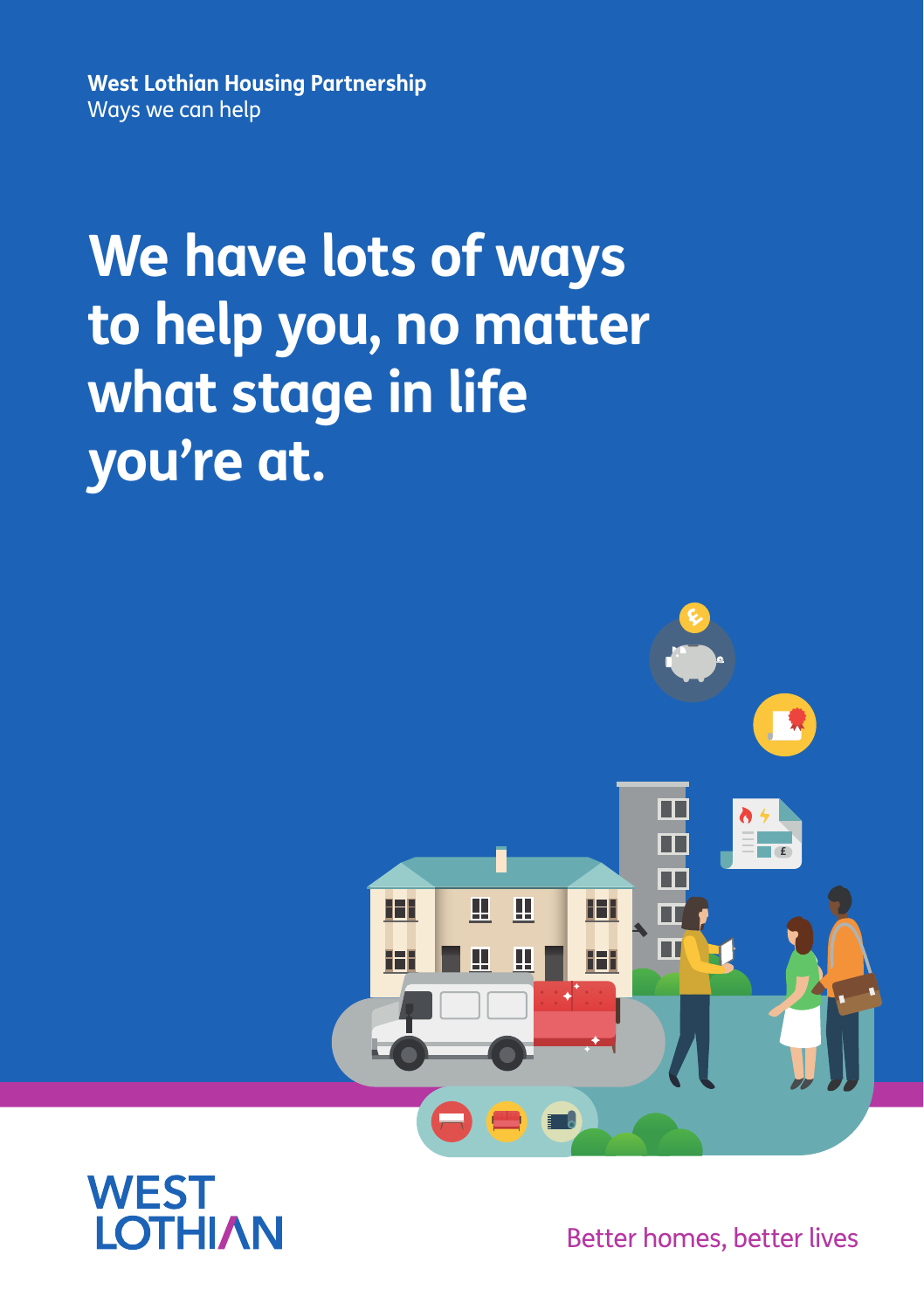**West Lothian Housing Partnership** Ways we can help

# **We have lots of ways to help you, no matter what stage in life you're at.**





Better homes, better lives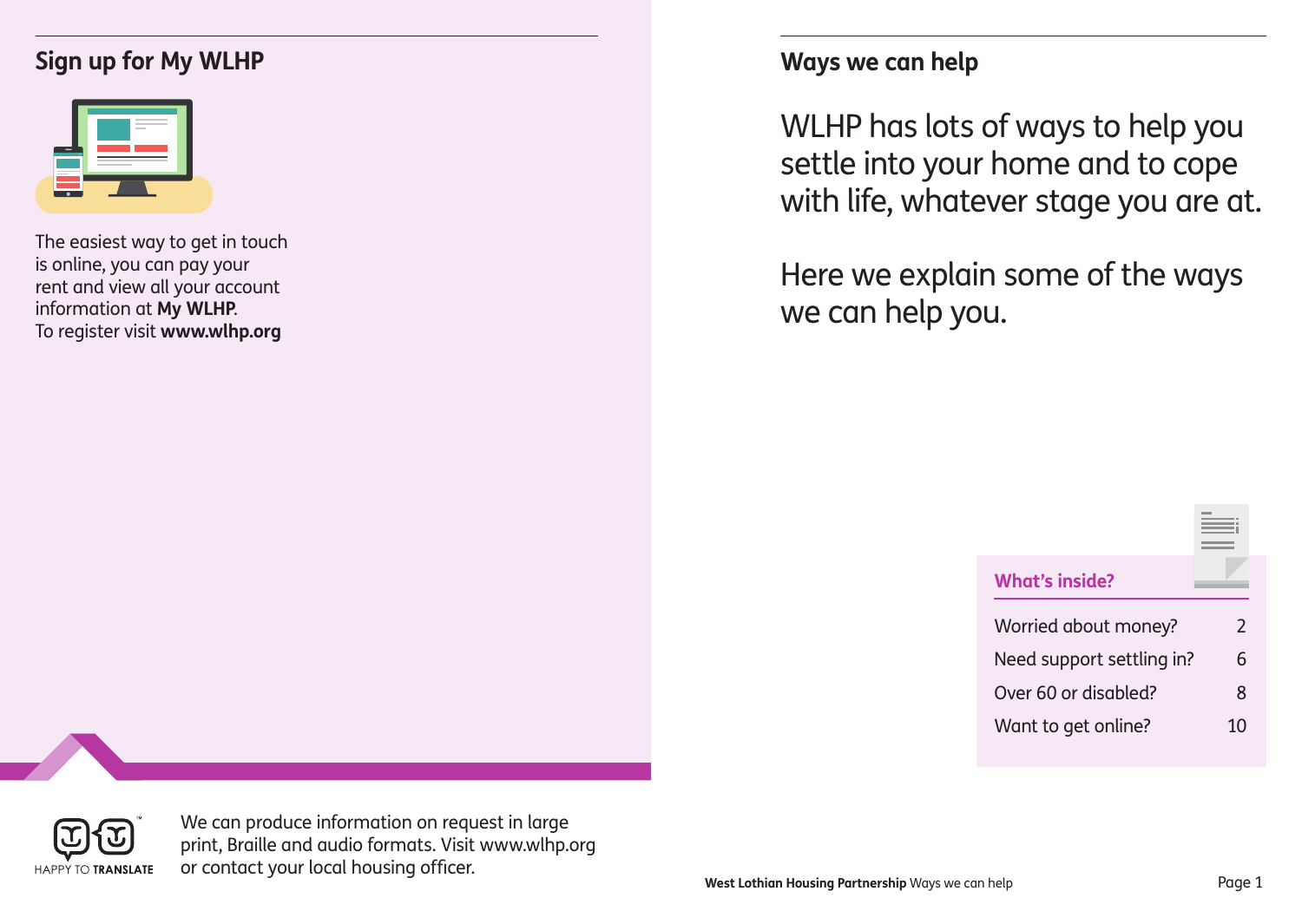### **Sign up for My WLHP Ways we can help**

| <br><b>Contract Contract</b><br>$-$ | $\frac{1}{2} \left( \frac{1}{2} \right) \left( \frac{1}{2} \right) \left( \frac{1}{2} \right) \left( \frac{1}{2} \right) \left( \frac{1}{2} \right) \left( \frac{1}{2} \right) \left( \frac{1}{2} \right) \left( \frac{1}{2} \right) \left( \frac{1}{2} \right) \left( \frac{1}{2} \right) \left( \frac{1}{2} \right) \left( \frac{1}{2} \right) \left( \frac{1}{2} \right) \left( \frac{1}{2} \right) \left( \frac{1}{2} \right) \left( \frac{1}{2} \right) \left( \frac$<br>۰<br>the control of the control of |  |
|-------------------------------------|------------------------------------------------------------------------------------------------------------------------------------------------------------------------------------------------------------------------------------------------------------------------------------------------------------------------------------------------------------------------------------------------------------------------------------------------------------------------------------------------------------------|--|
| the control of the control of the   |                                                                                                                                                                                                                                                                                                                                                                                                                                                                                                                  |  |

The easiest way to get in touch is online, you can pay your rent and view all your account information at **My WLHP**. To register visit **www.wlhp.org**

WLHP has lots of ways to help you settle into your home and to cope with life, whatever stage you are at.

Here we explain some of the ways we can help you.

| <b>What's inside?</b>     |               |
|---------------------------|---------------|
| Worried about money?      | $\mathcal{P}$ |
| Need support settling in? | 6             |
| Over 60 or disabled?      | ጸ             |
| Want to get online?       | 10            |



We can produce information on request in large print, Braille and audio formats. Visit www.wlhp.org or contact your local housing officer.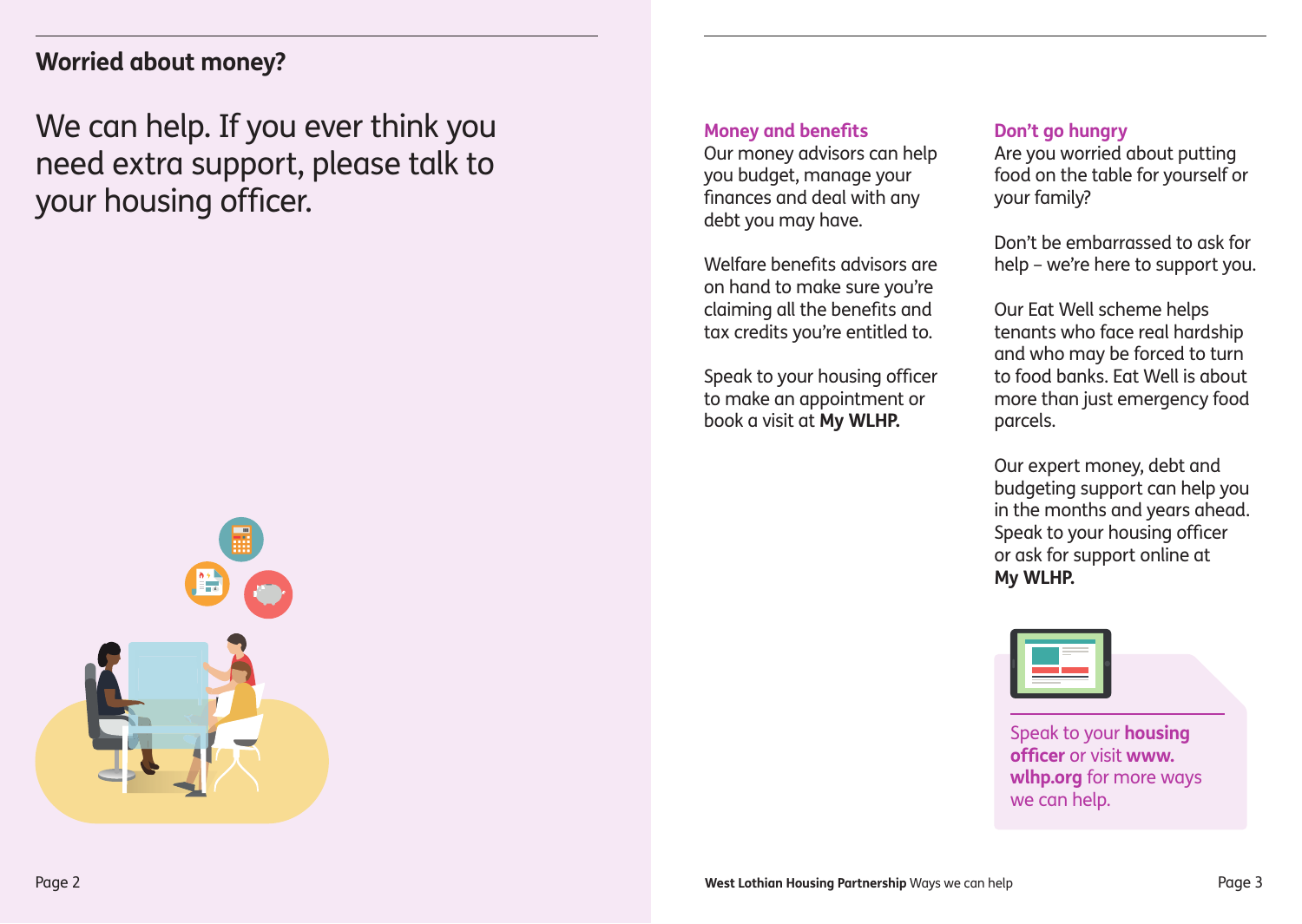### **Worried about money?**

We can help. If you ever think you need extra support, please talk to your housing officer.



#### **Money and benefits**

Our money advisors can help you budget, manage your finances and deal with any debt you may have.

Welfare benefits advisors are on hand to make sure you're claiming all the benefits and tax credits you're entitled to.

Speak to your housing officer to make an appointment or book a visit at **My WLHP.**

#### **Don't go hungry**

Are you worried about putting food on the table for yourself or your family?

Don't be embarrassed to ask for help – we're here to support you.

Our Eat Well scheme helps tenants who face real hardship and who may be forced to turn to food banks. Eat Well is about more than just emergency food parcels.

Our expert money, debt and budgeting support can help you in the months and years ahead. Speak to your housing officer or ask for support online at **My WLHP.**



Speak to your **housing officer** or visit **www. wlhp.org** for more ways we can help.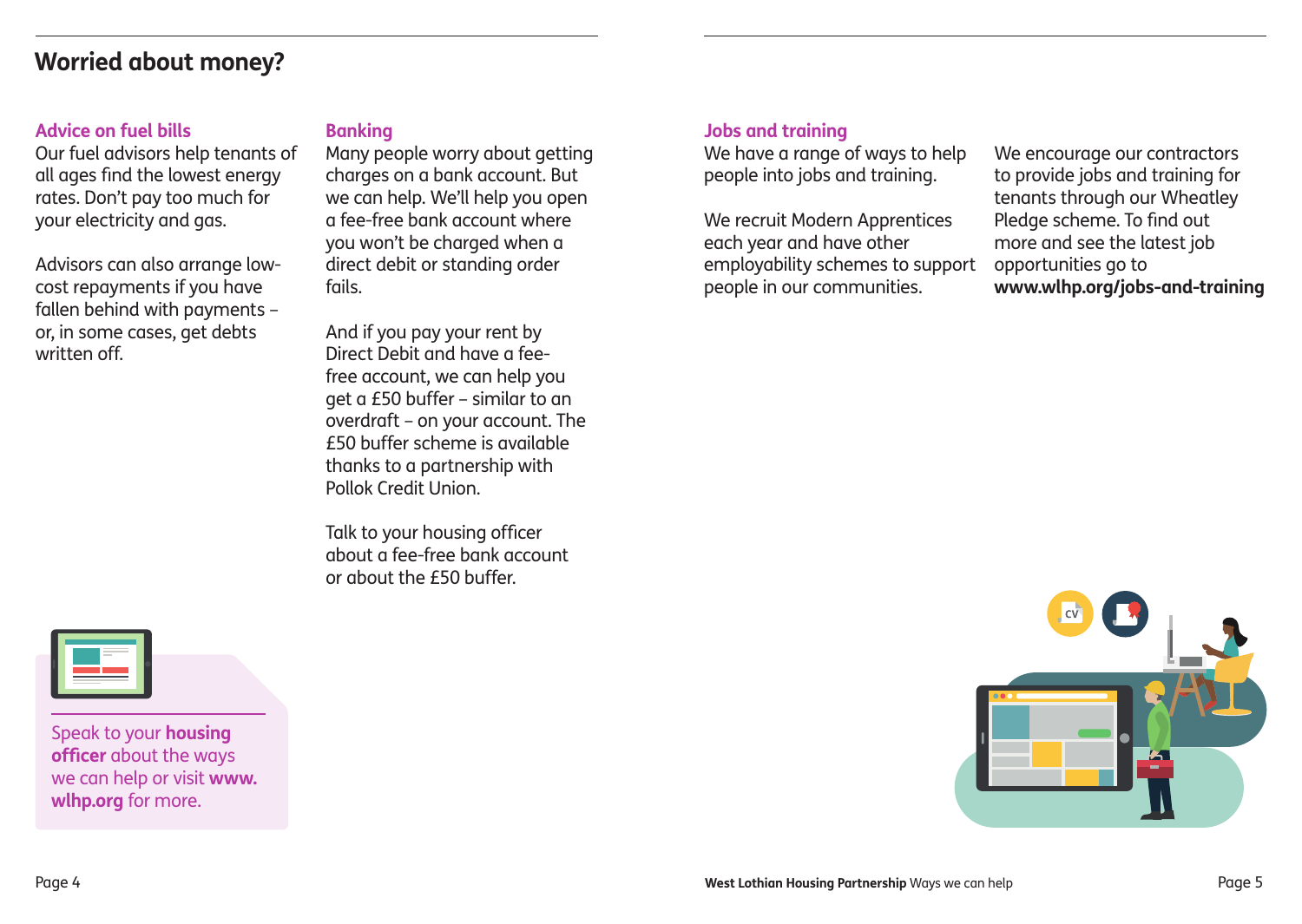### **Worried about money?**

#### **Advice on fuel bills**

Our fuel advisors help tenants of all ages find the lowest energy rates. Don't pay too much for your electricity and gas.

Advisors can also arrange lowcost repayments if you have fallen behind with payments – or, in some cases, get debts written off.

#### **Banking**

Many people worry about getting charges on a bank account. But we can help. We'll help you open a fee-free bank account where you won't be charged when a direct debit or standing order fails.

And if you pay your rent by Direct Debit and have a feefree account, we can help you get a £50 buffer – similar to an overdraft – on your account. The £50 buffer scheme is available thanks to a partnership with Pollok Credit Union.

Talk to your housing officer about a fee-free bank account or about the £50 buffer.

#### **Jobs and training**

We have a range of ways to help people into jobs and training.

We recruit Modern Apprentices each year and have other employability schemes to support people in our communities.

We encourage our contractors to provide jobs and training for tenants through our Wheatley Pledge scheme. To find out more and see the latest job opportunities go to **www.wlhp.org/jobs-and-training**





Speak to your **housing officer** about the ways we can help or visit **www. wlhp.org** for more.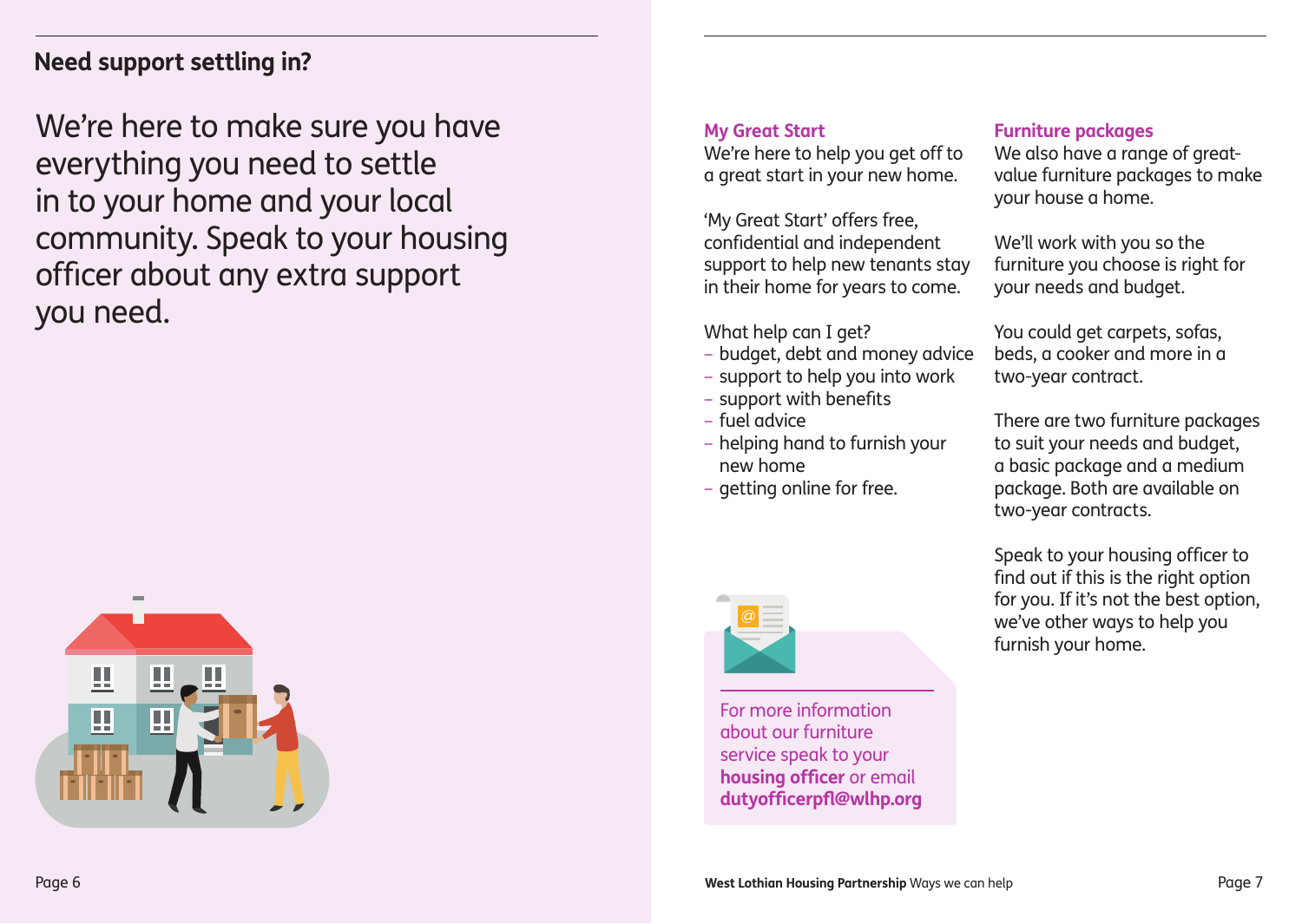### **Need support settling in?**

We're here to make sure you have everything you need to settle in to your home and your local community. Speak to your housing officer about any extra support you need.



#### **My Great Start**

We're here to help you get off to a great start in your new home.

'My Great Start' offers free, confidential and independent support to help new tenants stay in their home for years to come.

What help can I get?

- budget, debt and money advice
- support to help you into work
- support with benefits
- fuel advice
- helping hand to furnish your new home
- getting online for free.



For more information about our furniture service speak to your **housing officer** or email **dutyofficerpfl@wlhp.org** 

### **Furniture packages**

We also have a range of greatvalue furniture packages to make your house a home.

We'll work with you so the furniture you choose is right for your needs and budget.

You could get carpets, sofas, beds, a cooker and more in a two-year contract.

There are two furniture packages to suit your needs and budget, a basic package and a medium package. Both are available on two-year contracts.

Speak to your housing officer to find out if this is the right option for you. If it's not the best option, we've other ways to help you furnish your home.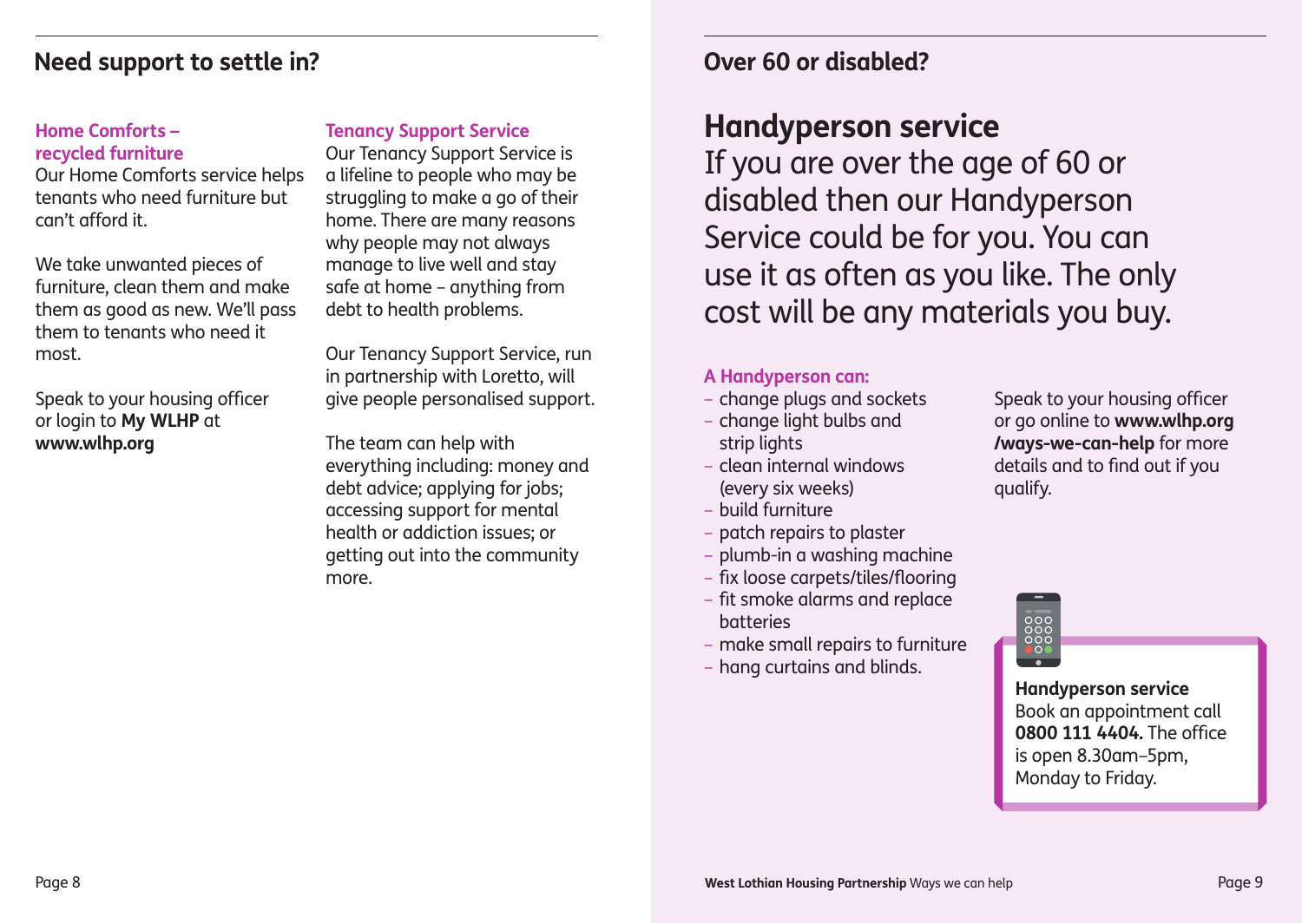### **Need support to settle in?**

#### **Home Comforts – recycled furniture**

Our Home Comforts service helps tenants who need furniture but can't afford it.

We take unwanted pieces of furniture, clean them and make them as good as new. We'll pass them to tenants who need it most.

Speak to your housing officer or login to **My WLHP** at **www.wlhp.org**

#### **Tenancy Support Service**

Our Tenancy Support Service is a lifeline to people who may be struggling to make a go of their home. There are many reasons why people may not always manage to live well and stay safe at home – anything from debt to health problems.

Our Tenancy Support Service, run in partnership with Loretto, will give people personalised support.

The team can help with everything including: money and debt advice; applying for jobs; accessing support for mental health or addiction issues; or getting out into the community more.

### **Over 60 or disabled?**

## **Handyperson service**

If you are over the age of 60 or disabled then our Handyperson Service could be for you. You can use it as often as you like. The only cost will be any materials you buy.

#### **A Handyperson can:**

- change plugs and sockets
- change light bulbs and strip lights
- clean internal windows (every six weeks)
- build furniture
- patch repairs to plaster
- plumb-in a washing machine
- fix loose carpets/tiles/flooring
- fit smoke alarms and replace batteries
- make small repairs to furniture
- hang curtains and blinds.

Speak to your housing officer or go online to **www.wlhp.org /ways-we-can-help** for more details and to find out if you qualify.



### **Handyperson service** Book an appointment call **0800 111 4404.** The office is open 8.30am–5pm, Monday to Friday.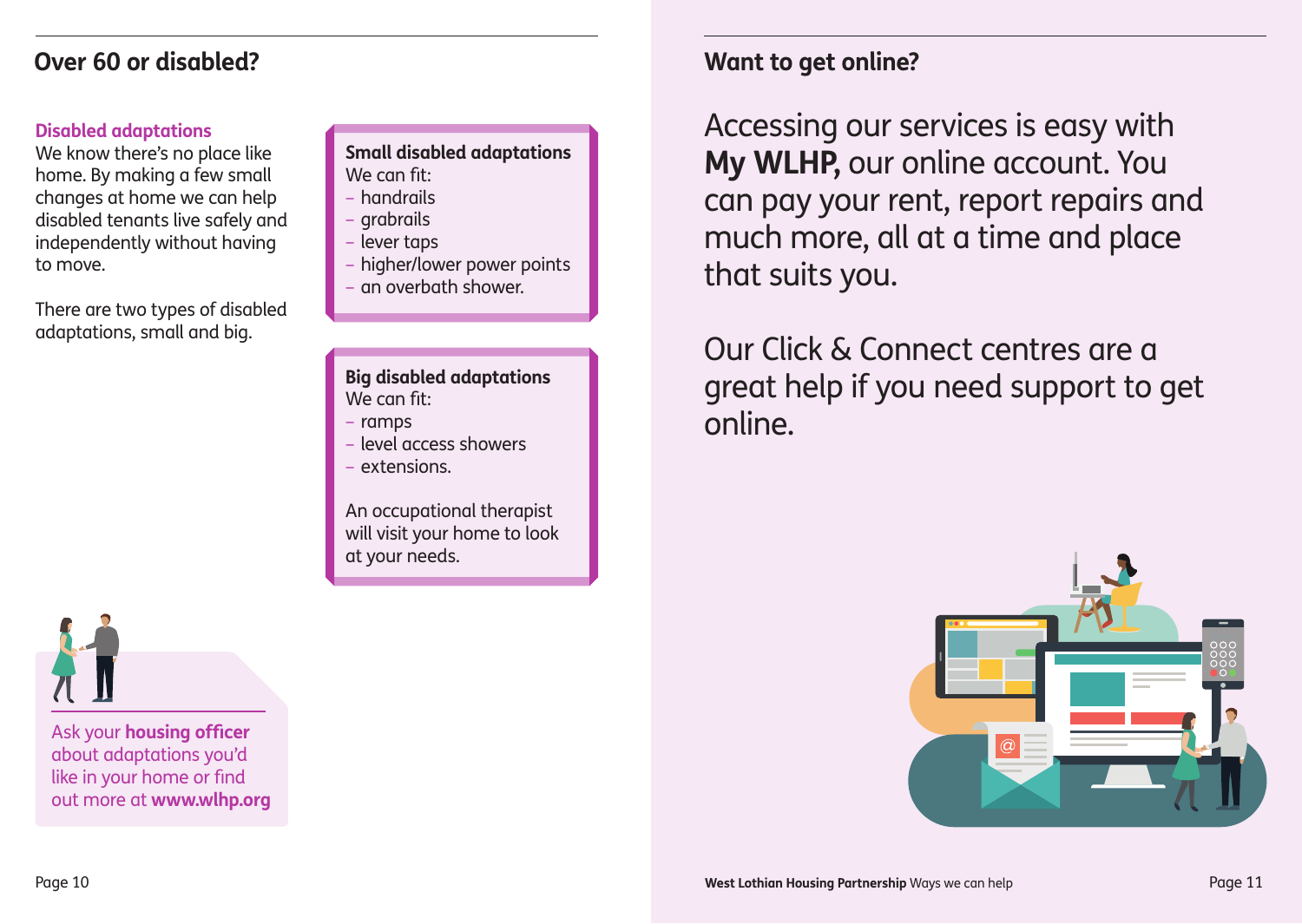### **Over 60 or disabled?**

#### **Disabled adaptations**

We know there's no place like home. By making a few small changes at home we can help disabled tenants live safely and independently without having to move.

There are two types of disabled adaptations, small and big.

#### **Small disabled adaptations** We can fit:

- handrails
- grabrails
- lever taps
- higher/lower power points
- an overbath shower.

#### **Big disabled adaptations** We can fit:

- ramps
- level access showers
- extensions.

An occupational therapist will visit your home to look at your needs.

Ask your **housing officer** about adaptations you'd like in your home or find out more at **www.wlhp.org**

### **Want to get online?**

Accessing our services is easy with **My WLHP,** our online account. You can pay your rent, report repairs and much more, all at a time and place that suits you.

Our Click & Connect centres are a great help if you need support to get online.

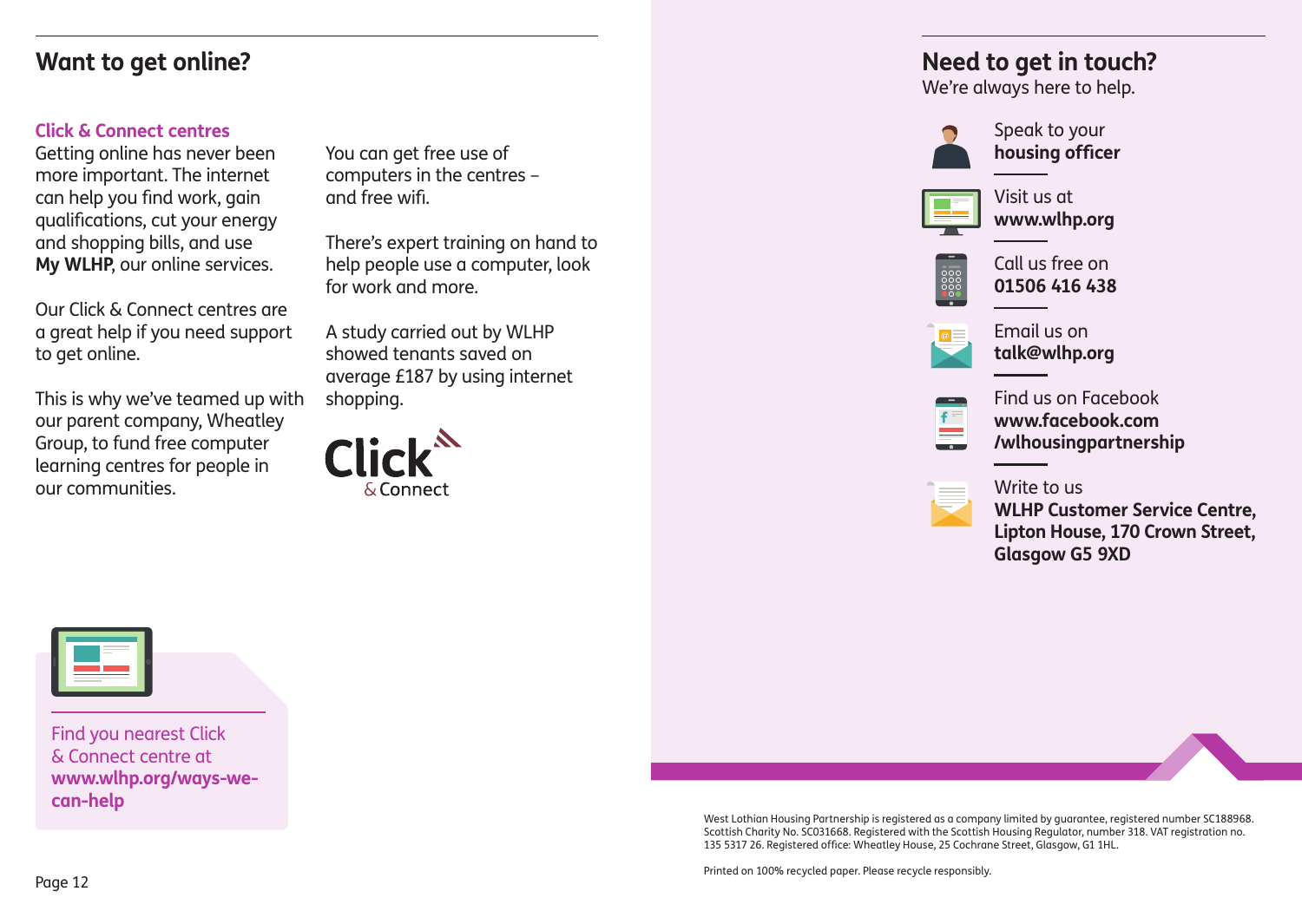### **Want to get online?**

#### **Click & Connect centres**

Getting online has never been more important. The internet can help you find work, gain qualifications, cut your energy and shopping bills, and use **My WLHP**, our online services.

Our Click & Connect centres are a great help if you need support to get online.

This is why we've teamed up with our parent company, Wheatley Group, to fund free computer learning centres for people in our communities.

You can get free use of computers in the centres – and free wifi.

There's expert training on hand to help people use a computer, look for work and more.

A study carried out by WLHP showed tenants saved on average £187 by using internet shopping.



### **Need to get in touch?**

We're always here to help.



Speak to your **housing officer**



Visit us at **www.wlhp.org**



Call us free on **01506 416 438**



Email us on **talk@wlhp.org**



Find us on Facebook **www.facebook.com /wlhousingpartnership**



**WLHP Customer Service Centre, Lipton House, 170 Crown Street, Glasgow G5 9XD**



Find you nearest Click & Connect centre at **www.wlhp.org/ways-wecan-help**

> West Lothian Housing Partnership is registered as a company limited by guarantee, registered number SC188968. Scottish Charity No. SC031668. Registered with the Scottish Housing Regulator, number 318. VAT registration no. 135 5317 26. Registered office: Wheatley House, 25 Cochrane Street, Glasgow, G1 1HL.

Printed on 100% recycled paper. Please recycle responsibly.